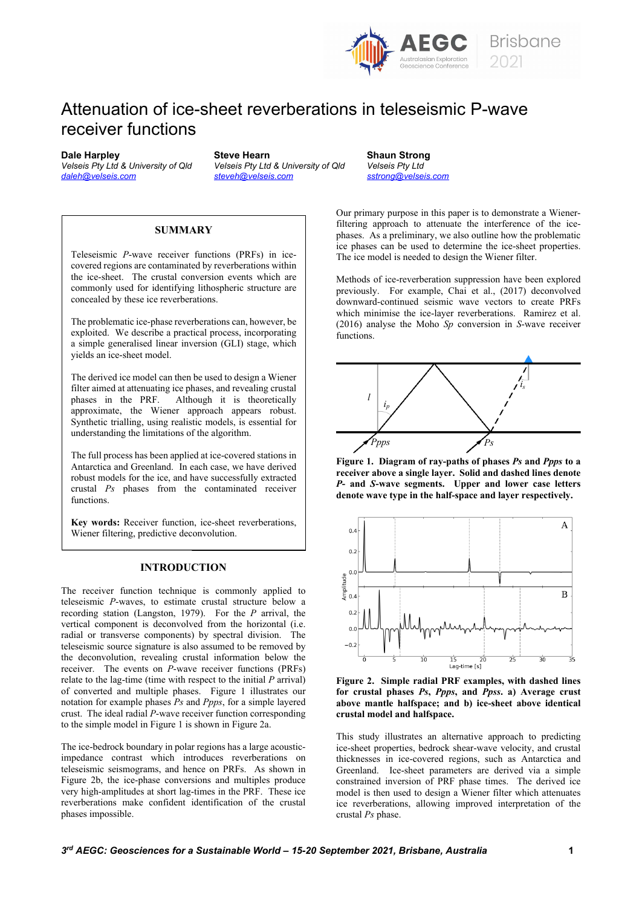

 $\#$ 









 $\mathbf{I}% _{0}\left( \mathbf{I}_{1}\right)$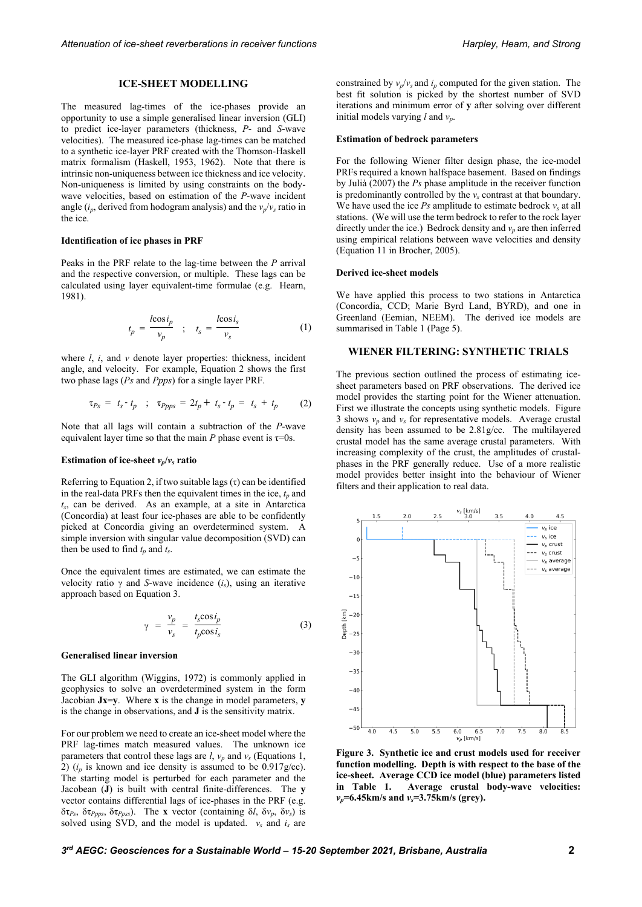### **ICE-SHEET MODELLING**

The measured lag-times of the ice-phases provide an opportunity to use a simple generalised linear inversion (GLI) to predict ice-layer parameters (thickness, *P*- and *S*-wave velocities). The measured ice-phase lag-times can be matched to a synthetic ice-layer PRF created with the Thomson-Haskell matrix formalism (Haskell, 1953, 1962). Note that there is intrinsic non-uniqueness between ice thickness and ice velocity. Non-uniqueness is limited by using constraints on the bodywave velocities, based on estimation of the *P*-wave incident angle ( $i_p$ , derived from hodogram analysis) and the  $v_p/v_s$  ratio in the ice.

#### **Identification of ice phases in PRF**

Peaks in the PRF relate to the lag-time between the *P* arrival and the respective conversion, or multiple. These lags can be calculated using layer equivalent-time formulae (e.g. Hearn, 1981).

$$
t_p = \frac{l \cos i_p}{v_p} \quad ; \quad t_s = \frac{l \cos i_s}{v_s} \tag{1}
$$

where *l*, *i*, and *v* denote layer properties: thickness, incident angle, and velocity. For example, Equation 2 shows the first two phase lags (*Ps* and *Ppps*) for a single layer PRF.

$$
\tau_{Ps} = t_s - t_p \quad ; \quad \tau_{PPps} = 2t_p + t_s - t_p = t_s + t_p \tag{2}
$$

Note that all lags will contain a subtraction of the *P*-wave equivalent layer time so that the main *P* phase event is  $\tau=0$ s.

#### **Estimation of ice-sheet**  $v_p/v_s$  ratio

Referring to Equation 2, if two suitable lags  $(\tau)$  can be identified in the real-data PRFs then the equivalent times in the ice,  $t_p$  and *ts* , can be derived. As an example, at a site in Antarctica (Concordia) at least four ice-phases are able to be confidently picked at Concordia giving an overdetermined system. A simple inversion with singular value decomposition (SVD) can then be used to find  $t_p$  and  $t_s$ .

Once the equivalent times are estimated, we can estimate the velocity ratio γ and *S*-wave incidence  $(i<sub>s</sub>)$ , using an iterative approach based on Equation 3.

$$
\gamma = \frac{v_p}{v_s} = \frac{t_s \cos i_p}{t_p \cos i_s} \tag{3}
$$

#### **Generalised linear inversion**

The GLI algorithm (Wiggins, 1972) is commonly applied in geophysics to solve an overdetermined system in the form Jacobian **Jx**=**y**. Where **x** is the change in model parameters, **y** is the change in observations, and **J** is the sensitivity matrix.

For our problem we need to create an ice-sheet model where the PRF lag-times match measured values. The unknown ice parameters that control these lags are  $l$ ,  $v_p$  and  $v_s$  (Equations 1, 2)  $(i_p$  is known and ice density is assumed to be  $0.917$  g/cc). The starting model is perturbed for each parameter and the Jacobean (**J**) is built with central finite-differences. The **y** vector contains differential lags of ice-phases in the PRF (e.g. δτ*Ps*, δτ*Ppps*, δτ*Ppss*). The **x** vector (containing δ*l*, δ*vp*, δ*vs*) is solved using SVD, and the model is updated.  $v_s$  and  $i_s$  are

constrained by  $v_p/v_s$  and  $i_p$  computed for the given station. The best fit solution is picked by the shortest number of SVD iterations and minimum error of **y** after solving over different initial models varying *l* and *vp*.

#### **Estimation of bedrock parameters**

For the following Wiener filter design phase, the ice-model PRFs required a known halfspace basement. Based on findings by Julià (2007) the *Ps* phase amplitude in the receiver function is predominantly controlled by the  $v<sub>s</sub>$  contrast at that boundary. We have used the ice  $Ps$  amplitude to estimate bedrock  $v<sub>s</sub>$  at all stations. (We will use the term bedrock to refer to the rock layer directly under the ice.) Bedrock density and  $v_p$  are then inferred using empirical relations between wave velocities and density (Equation 11 in Brocher, 2005).

## **Derived ice-sheet models**

We have applied this process to two stations in Antarctica (Concordia, CCD; Marie Byrd Land, BYRD), and one in Greenland (Eemian, NEEM). The derived ice models are summarised in Table 1 (Page 5).

## **WIENER FILTERING: SYNTHETIC TRIALS**

The previous section outlined the process of estimating icesheet parameters based on PRF observations. The derived ice model provides the starting point for the Wiener attenuation. First we illustrate the concepts using synthetic models. Figure 3 shows  $v_p$  and  $v_s$  for representative models. Average crustal density has been assumed to be 2.81g/cc. The multilayered crustal model has the same average crustal parameters. With increasing complexity of the crust, the amplitudes of crustalphases in the PRF generally reduce. Use of a more realistic model provides better insight into the behaviour of Wiener filters and their application to real data.



**Figure 3. Synthetic ice and crust models used for receiver function modelling. Depth is with respect to the base of the ice-sheet. Average CCD ice model (blue) parameters listed in Table 1. Average crustal body-wave velocities:** *vp***=6.45km/s and** *vs***=3.75km/s (grey).**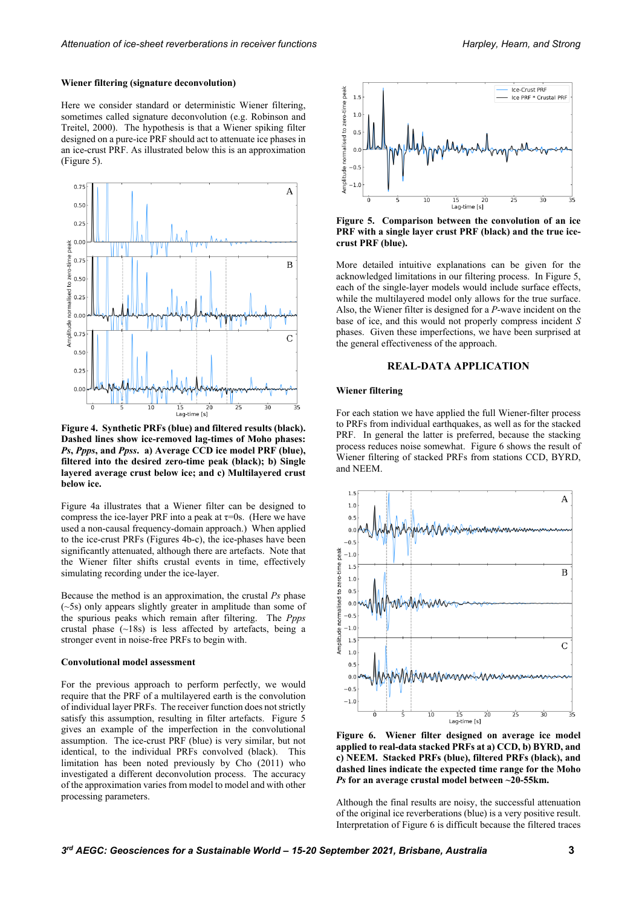#### **Wiener filtering (signature deconvolution)**

Here we consider standard or deterministic Wiener filtering, sometimes called signature deconvolution (e.g. Robinson and Treitel, 2000). The hypothesis is that a Wiener spiking filter designed on a pure-ice PRF should act to attenuate ice phases in an ice-crust PRF. As illustrated below this is an approximation (Figure 5).



**Figure 4. Synthetic PRFs (blue) and filtered results (black). Dashed lines show ice-removed lag-times of Moho phases:** *Ps***,** *Ppps***, and** *Ppss***. a) Average CCD ice model PRF (blue), filtered into the desired zero-time peak (black); b) Single layered average crust below ice; and c) Multilayered crust below ice.**

Figure 4a illustrates that a Wiener filter can be designed to compress the ice-layer PRF into a peak at  $\tau$ =0s. (Here we have used a non-causal frequency-domain approach.) When applied to the ice-crust PRFs (Figures 4b-c), the ice-phases have been significantly attenuated, although there are artefacts. Note that the Wiener filter shifts crustal events in time, effectively simulating recording under the ice-layer.

Because the method is an approximation, the crustal *Ps* phase (~5s) only appears slightly greater in amplitude than some of the spurious peaks which remain after filtering. The *Ppps* crustal phase (~18s) is less affected by artefacts, being a stronger event in noise-free PRFs to begin with.

#### **Convolutional model assessment**

For the previous approach to perform perfectly, we would require that the PRF of a multilayered earth is the convolution of individual layer PRFs. The receiver function does notstrictly satisfy this assumption, resulting in filter artefacts. Figure 5 gives an example of the imperfection in the convolutional assumption. The ice-crust PRF (blue) is very similar, but not identical, to the individual PRFs convolved (black). This limitation has been noted previously by Cho (2011) who investigated a different deconvolution process. The accuracy of the approximation varies from model to model and with other processing parameters.



**Figure 5. Comparison between the convolution of an ice PRF with a single layer crust PRF (black) and the true icecrust PRF (blue).** 

More detailed intuitive explanations can be given for the acknowledged limitations in our filtering process. In Figure 5, each of the single-layer models would include surface effects, while the multilayered model only allows for the true surface. Also, the Wiener filter is designed for a *P*-wave incident on the base of ice, and this would not properly compress incident *S* phases. Given these imperfections, we have been surprised at the general effectiveness of the approach.

# **REAL-DATA APPLICATION**

# **Wiener filtering**

For each station we have applied the full Wiener-filter process to PRFs from individual earthquakes, as well as for the stacked PRF. In general the latter is preferred, because the stacking process reduces noise somewhat. Figure 6 shows the result of Wiener filtering of stacked PRFs from stations CCD, BYRD, and NEEM.



**Figure 6. Wiener filter designed on average ice model applied to real-data stacked PRFs at a) CCD, b) BYRD, and c) NEEM. Stacked PRFs (blue), filtered PRFs (black), and dashed lines indicate the expected time range for the Moho** *Ps* **for an average crustal model between ~20-55km.**

Although the final results are noisy, the successful attenuation of the original ice reverberations (blue) is a very positive result. Interpretation of Figure 6 is difficult because the filtered traces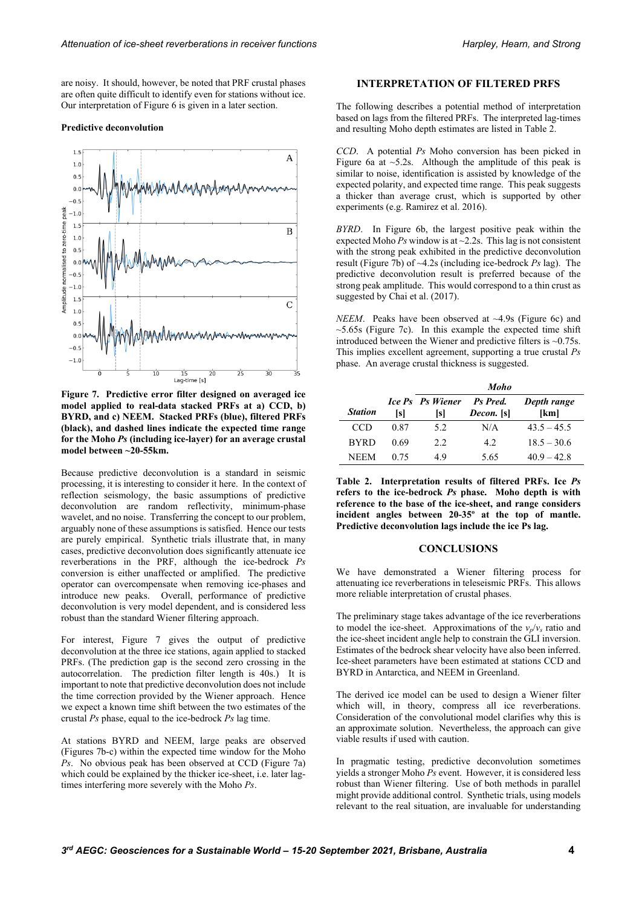are noisy. It should, however, be noted that PRF crustal phases are often quite difficult to identify even for stations without ice. Our interpretation of Figure 6 is given in a later section.

#### **Predictive deconvolution**



**Figure 7. Predictive error filter designed on averaged ice model applied to real-data stacked PRFs at a) CCD, b) BYRD, and c) NEEM. Stacked PRFs (blue), filtered PRFs (black), and dashed lines indicate the expected time range for the Moho** *Ps* **(including ice-layer) for an average crustal model between ~20-55km.**

Because predictive deconvolution is a standard in seismic processing, it is interesting to consider it here. In the context of reflection seismology, the basic assumptions of predictive deconvolution are random reflectivity, minimum-phase wavelet, and no noise. Transferring the concept to our problem, arguably none of these assumptions is satisfied. Hence our tests are purely empirical. Synthetic trials illustrate that, in many cases, predictive deconvolution does significantly attenuate ice reverberations in the PRF, although the ice-bedrock *Ps* conversion is either unaffected or amplified. The predictive operator can overcompensate when removing ice-phases and introduce new peaks. Overall, performance of predictive deconvolution is very model dependent, and is considered less robust than the standard Wiener filtering approach.

For interest, Figure 7 gives the output of predictive deconvolution at the three ice stations, again applied to stacked PRFs. (The prediction gap is the second zero crossing in the autocorrelation. The prediction filter length is 40s.) It is important to note that predictive deconvolution does not include the time correction provided by the Wiener approach. Hence we expect a known time shift between the two estimates of the crustal *Ps* phase, equal to the ice-bedrock *Ps* lag time.

At stations BYRD and NEEM, large peaks are observed (Figures 7b-c) within the expected time window for the Moho *Ps*. No obvious peak has been observed at CCD (Figure 7a) which could be explained by the thicker ice-sheet, i.e. later lagtimes interfering more severely with the Moho *Ps*.

# **INTERPRETATION OF FILTERED PRFS**

The following describes a potential method of interpretation based on lags from the filtered PRFs. The interpreted lag-times and resulting Moho depth estimates are listed in Table 2.

*CCD*. A potential *Ps* Moho conversion has been picked in Figure 6a at  $\sim$  5.2s. Although the amplitude of this peak is similar to noise, identification is assisted by knowledge of the expected polarity, and expected time range. This peak suggests a thicker than average crust, which is supported by other experiments (e.g. Ramirez et al. 2016).

*BYRD*. In Figure 6b, the largest positive peak within the expected Moho  $Ps$  window is at  $\sim$  2.2s. This lag is not consistent with the strong peak exhibited in the predictive deconvolution result (Figure 7b) of ~4.2s (including ice-bedrock *Ps* lag). The predictive deconvolution result is preferred because of the strong peak amplitude. This would correspond to a thin crust as suggested by Chai et al. (2017).

*NEEM*. Peaks have been observed at ~4.9s (Figure 6c) and  $\sim$  5.65s (Figure 7c). In this example the expected time shift introduced between the Wiener and predictive filters is ~0.75s. This implies excellent agreement, supporting a true crustal *Ps* phase. An average crustal thickness is suggested.

|                |      | <b>Moho</b>             |                               |                     |  |  |  |  |  |
|----------------|------|-------------------------|-------------------------------|---------------------|--|--|--|--|--|
| <b>Station</b> | [s]  | Ice Ps Ps Wiener<br>[s] | Ps Pred.<br><i>Decon.</i> [s] | Depth range<br>[km] |  |  |  |  |  |
| CCD            | 0.87 | 5.2                     | N/A                           | $43.5 - 45.5$       |  |  |  |  |  |
| <b>BYRD</b>    | 0.69 | 2.2.                    | 4.2.                          | $18.5 - 30.6$       |  |  |  |  |  |
| <b>NEEM</b>    | 0.75 | 49                      | 5.65                          | $40.9 - 42.8$       |  |  |  |  |  |

**Table 2. Interpretation results of filtered PRFs. Ice** *Ps* **refers to the ice-bedrock** *Ps* **phase. Moho depth is with reference to the base of the ice-sheet, and range considers incident angles between 20-35º at the top of mantle. Predictive deconvolution lags include the ice Ps lag.**

## **CONCLUSIONS**

We have demonstrated a Wiener filtering process for attenuating ice reverberations in teleseismic PRFs. This allows more reliable interpretation of crustal phases.

The preliminary stage takes advantage of the ice reverberations to model the ice-sheet. Approximations of the  $v_p/v_s$  ratio and the ice-sheet incident angle help to constrain the GLI inversion. Estimates of the bedrock shear velocity have also been inferred. Ice-sheet parameters have been estimated at stations CCD and BYRD in Antarctica, and NEEM in Greenland.

The derived ice model can be used to design a Wiener filter which will, in theory, compress all ice reverberations. Consideration of the convolutional model clarifies why this is an approximate solution. Nevertheless, the approach can give viable results if used with caution.

In pragmatic testing, predictive deconvolution sometimes yields a stronger Moho *Ps* event. However, it is considered less robust than Wiener filtering. Use of both methods in parallel might provide additional control. Synthetic trials, using models relevant to the real situation, are invaluable for understanding